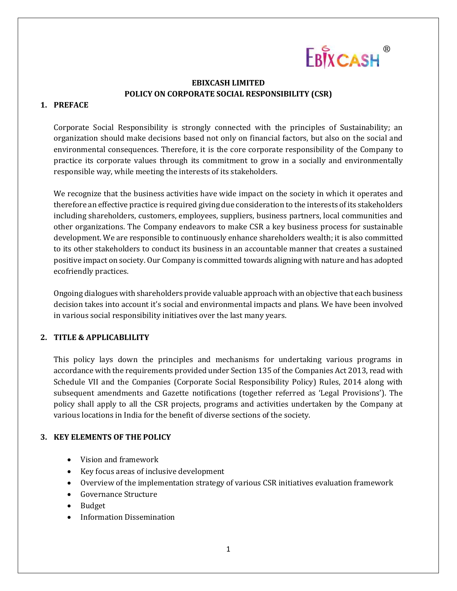

## **EBIXCASH LIMITED POLICY ON CORPORATE SOCIAL RESPONSIBILITY (CSR)**

#### **1. PREFACE**

Corporate Social Responsibility is strongly connected with the principles of Sustainability; an organization should make decisions based not only on financial factors, but also on the social and environmental consequences. Therefore, it is the core corporate responsibility of the Company to practice its corporate values through its commitment to grow in a socially and environmentally responsible way, while meeting the interests of its stakeholders.

We recognize that the business activities have wide impact on the society in which it operates and therefore an effective practice is required giving due consideration to the interests of its stakeholders including shareholders, customers, employees, suppliers, business partners, local communities and other organizations. The Company endeavors to make CSR a key business process for sustainable development. We are responsible to continuously enhance shareholders wealth; it is also committed to its other stakeholders to conduct its business in an accountable manner that creates a sustained positive impact on society. Our Company is committed towards aligning with nature and has adopted ecofriendly practices.

Ongoing dialogues with shareholders provide valuable approach with an objective that each business decision takes into account it's social and environmental impacts and plans. We have been involved in various social responsibility initiatives over the last many years.

## **2. TITLE & APPLICABLILITY**

This policy lays down the principles and mechanisms for undertaking various programs in accordance with the requirements provided under Section 135 of the Companies Act 2013, read with Schedule VII and the Companies (Corporate Social Responsibility Policy) Rules, 2014 along with subsequent amendments and Gazette notifications (together referred as 'Legal Provisions'). The policy shall apply to all the CSR projects, programs and activities undertaken by the Company at various locations in India for the benefit of diverse sections of the society.

## **3. KEY ELEMENTS OF THE POLICY**

- Vision and framework
- Key focus areas of inclusive development
- Overview of the implementation strategy of various CSR initiatives evaluation framework
- Governance Structure
- Budget
- Information Dissemination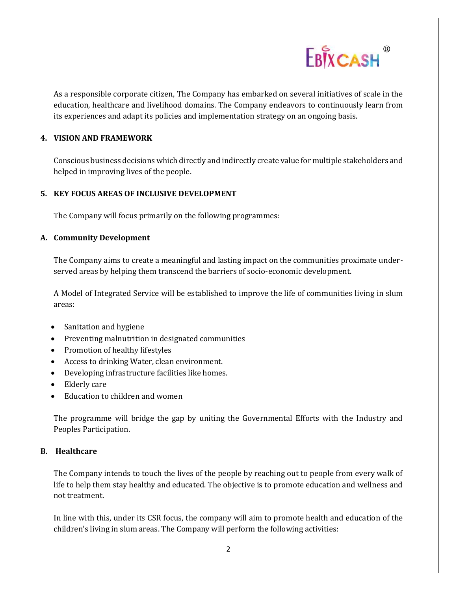

As a responsible corporate citizen, The Company has embarked on several initiatives of scale in the education, healthcare and livelihood domains. The Company endeavors to continuously learn from its experiences and adapt its policies and implementation strategy on an ongoing basis.

#### **4. VISION AND FRAMEWORK**

Conscious business decisions which directly and indirectly create value for multiple stakeholders and helped in improving lives of the people.

#### **5. KEY FOCUS AREAS OF INCLUSIVE DEVELOPMENT**

The Company will focus primarily on the following programmes:

#### **A. Community Development**

The Company aims to create a meaningful and lasting impact on the communities proximate underserved areas by helping them transcend the barriers of socio-economic development.

A Model of Integrated Service will be established to improve the life of communities living in slum areas:

- Sanitation and hygiene
- Preventing malnutrition in designated communities
- Promotion of healthy lifestyles
- Access to drinking Water, clean environment.
- Developing infrastructure facilities like homes.
- Elderly care
- Education to children and women

The programme will bridge the gap by uniting the Governmental Efforts with the Industry and Peoples Participation.

#### **B. Healthcare**

The Company intends to touch the lives of the people by reaching out to people from every walk of life to help them stay healthy and educated. The objective is to promote education and wellness and not treatment.

In line with this, under its CSR focus, the company will aim to promote health and education of the children's living in slum areas. The Company will perform the following activities: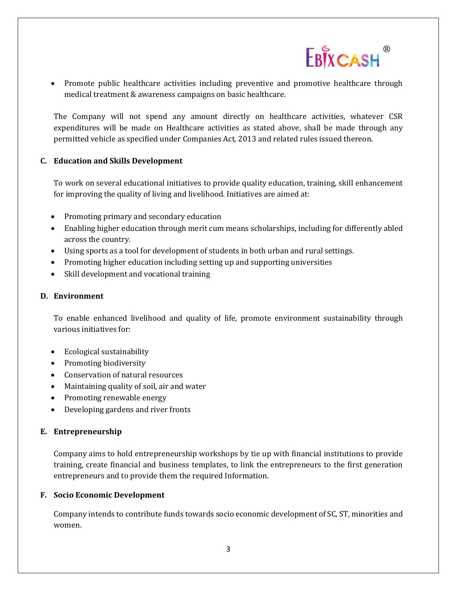

• Promote public healthcare activities including preventive and promotive healthcare through medical treatment & awareness campaigns on basic healthcare.

The Company will not spend any amount directly on healthcare activities, whatever CSR expenditures will be made on Healthcare activities as stated above, shall be made through any permitted vehicle as specified under Companies Act, 2013 and related rules issued thereon.

## **C. Education and Skills Development**

To work on several educational initiatives to provide quality education, training, skill enhancement for improving the quality of living and livelihood. Initiatives are aimed at:

- Promoting primary and secondary education
- Enabling higher education through merit cum means scholarships, including for differently abled across the country.
- Using sports as a tool for development of students in both urban and rural settings.
- Promoting higher education including setting up and supporting universities
- Skill development and vocational training

## **D. Environment**

To enable enhanced livelihood and quality of life, promote environment sustainability through various initiatives for:

- Ecological sustainability
- Promoting biodiversity
- Conservation of natural resources
- Maintaining quality of soil, air and water
- Promoting renewable energy
- Developing gardens and river fronts

## **E. Entrepreneurship**

Company aims to hold entrepreneurship workshops by tie up with financial institutions to provide training, create financial and business templates, to link the entrepreneurs to the first generation entrepreneurs and to provide them the required Information.

## **F. Socio Economic Development**

Company intends to contribute funds towards socio economic development of SC, ST, minorities and women.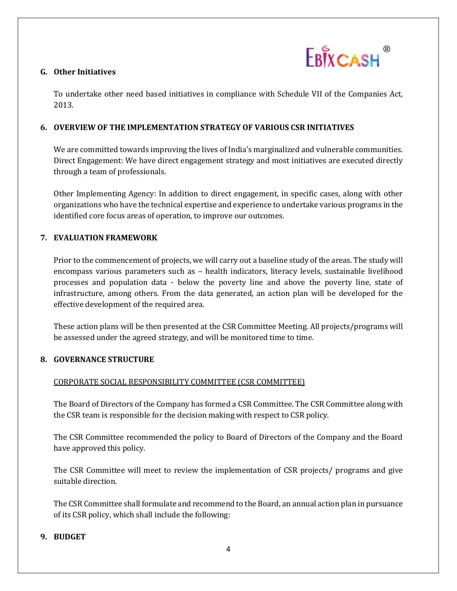

## **G. Other Initiatives**

To undertake other need based initiatives in compliance with Schedule VII of the Companies Act, 2013.

## **6. OVERVIEW OF THE IMPLEMENTATION STRATEGY OF VARIOUS CSR INITIATIVES**

We are committed towards improving the lives of India's marginalized and vulnerable communities. Direct Engagement: We have direct engagement strategy and most initiatives are executed directly through a team of professionals.

Other Implementing Agency: In addition to direct engagement, in specific cases, along with other organizations who have the technical expertise and experience to undertake various programs in the identified core focus areas of operation, to improve our outcomes.

# **7. EVALUATION FRAMEWORK**

Prior to the commencement of projects, we will carry out a baseline study of the areas. The study will encompass various parameters such as – health indicators, literacy levels, sustainable livelihood processes and population data - below the poverty line and above the poverty line, state of infrastructure, among others. From the data generated, an action plan will be developed for the effective development of the required area.

These action plans will be then presented at the CSR Committee Meeting. All projects/programs will be assessed under the agreed strategy, and will be monitored time to time.

## **8. GOVERNANCE STRUCTURE**

# CORPORATE SOCIAL RESPONSIBILITY COMMITTEE (CSR COMMITTEE)

The Board of Directors of the Company has formed a CSR Committee. The CSR Committee along with the CSR team is responsible for the decision making with respect to CSR policy.

The CSR Committee recommended the policy to Board of Directors of the Company and the Board have approved this policy.

The CSR Committee will meet to review the implementation of CSR projects/ programs and give suitable direction.

The CSR Committee shall formulate and recommend to the Board, an annual action plan in pursuance of its CSR policy, which shall include the following:

## **9. BUDGET**